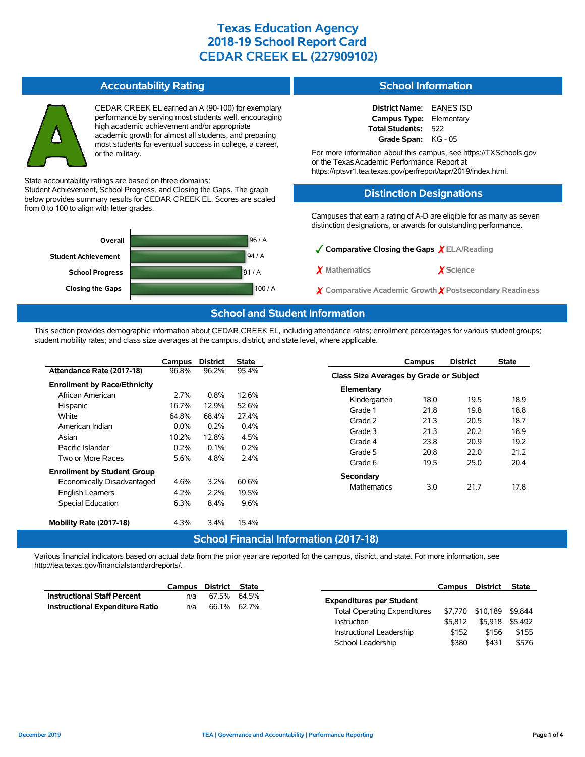#### **Accountability Rating**



CEDAR CREEK EL earned an A (90-100) for exemplary performance by serving most students well, encouraging high academic achievement and/or appropriate academic growth for almost all students, and preparing most students for eventual success in college, a career, or the military.

State accountability ratings are based on three domains:

Student Achievement, School Progress, and Closing the Gaps. The graph below provides summary results for CEDAR CREEK EL. Scores are scaled from 0 to 100 to align with letter grades.



#### **School Information**

| <b>District Name:</b>          | <b>EANES ISD</b> |
|--------------------------------|------------------|
| <b>Campus Type:</b> Elementary |                  |
| Total Students:                | 522              |
| Grade Span:                    | KG - 05          |

For more information about this campus, see https://TXSchools.gov or the TexasAcademic Performance Report at https://rptsvr1.tea.texas.gov/perfreport/tapr/2019/index.html.

#### **Distinction Designations**

Campuses that earn a rating of A-D are eligible for as many as seven distinction designations, or awards for outstanding performance.

School Leadership  $$380$  \$431 \$576

✓**Comparative Closing the Gaps** ✗ **ELA/Reading** ✗ **Mathematics** ✗ **Science** ✗ **Comparative Academic Growth** ✗ **Postsecondary Readiness**

#### **School and Student Information**

This section provides demographic information about CEDAR CREEK EL, including attendance rates; enrollment percentages for various student groups; student mobility rates; and class size averages at the campus, district, and state level, where applicable.

|                                                 | Campus  | <b>District</b> | <b>State</b> | <b>District</b><br>Campus               | <b>State</b> |  |  |  |  |  |
|-------------------------------------------------|---------|-----------------|--------------|-----------------------------------------|--------------|--|--|--|--|--|
| Attendance Rate (2017-18)                       | 96.8%   | 96.2%           | 95.4%        | Class Size Averages by Grade or Subject |              |  |  |  |  |  |
| <b>Enrollment by Race/Ethnicity</b>             |         |                 |              | Elementary                              |              |  |  |  |  |  |
| African American                                | 2.7%    | 0.8%            | 12.6%        | 19.5<br>Kindergarten<br>18.0            | 18.9         |  |  |  |  |  |
| Hispanic                                        | 16.7%   | 12.9%           | 52.6%        | Grade 1<br>21.8<br>19.8                 | 18.8         |  |  |  |  |  |
| White                                           | 64.8%   | 68.4%           | 27.4%        |                                         |              |  |  |  |  |  |
| American Indian                                 | $0.0\%$ | 0.2%            | 0.4%         | Grade 2<br>21.3<br>20.5                 | 18.7         |  |  |  |  |  |
|                                                 |         |                 |              | Grade 3<br>20.2<br>21.3                 | 18.9         |  |  |  |  |  |
| Asian                                           | 10.2%   | 12.8%           | 4.5%         | Grade 4<br>23.8<br>20.9                 | 19.2         |  |  |  |  |  |
| Pacific Islander                                | 0.2%    | 0.1%            | 0.2%         | Grade 5<br>20.8<br>22.0                 | 21.2         |  |  |  |  |  |
| Two or More Races                               | 5.6%    | 4.8%            | 2.4%         | Grade 6<br>19.5<br>25.0                 | 20.4         |  |  |  |  |  |
| <b>Enrollment by Student Group</b><br>Secondary |         |                 |              |                                         |              |  |  |  |  |  |
| Economically Disadvantaged                      | 4.6%    | 3.2%            | 60.6%        | <b>Mathematics</b><br>21.7<br>3.0       | 17.8         |  |  |  |  |  |
| English Learners                                | 4.2%    | 2.2%            | 19.5%        |                                         |              |  |  |  |  |  |
| Special Education                               | 6.3%    | 8.4%            | 9.6%         |                                         |              |  |  |  |  |  |
| Mobility Rate (2017-18)                         | 4.3%    | $3.4\%$         | 15.4%        |                                         |              |  |  |  |  |  |
| <b>School Financial Information (2017-18)</b>   |         |                 |              |                                         |              |  |  |  |  |  |

Various financial indicators based on actual data from the prior year are reported for the campus, district, and state. For more information, see http://tea.texas.gov/financialstandardreports/.

|                                        | Campus | District State |                                     | <b>Campus</b> | District                 | <b>State</b> |
|----------------------------------------|--------|----------------|-------------------------------------|---------------|--------------------------|--------------|
| <b>Instructional Staff Percent</b>     | n/a    | 67.5% 64.5%    | <b>Expenditures per Student</b>     |               |                          |              |
| <b>Instructional Expenditure Ratio</b> | n/a    | 66.1% 62.7%    |                                     |               |                          |              |
|                                        |        |                | <b>Total Operating Expenditures</b> |               | \$7.770 \$10.189 \$9.844 |              |
|                                        |        |                | Instruction                         | \$5,812       | \$5.918 \$5.492          |              |
|                                        |        |                | Instructional Leadership            | \$152         | \$156                    | \$155        |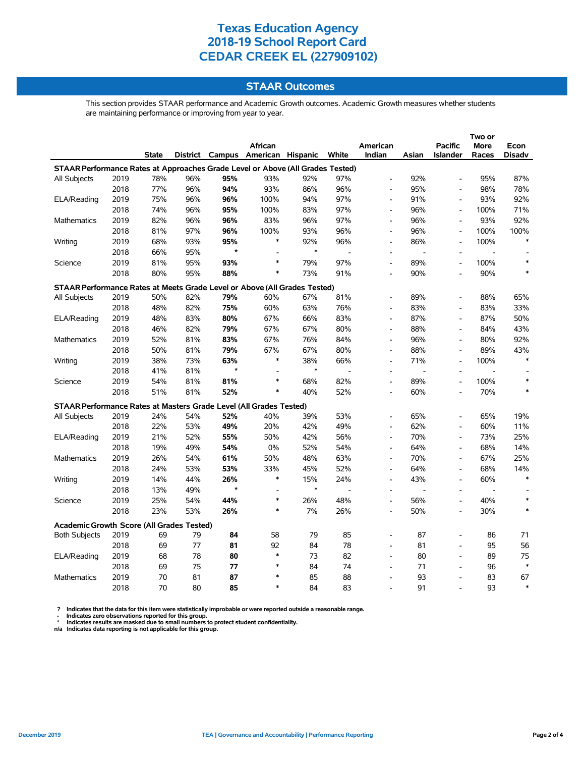### **STAAR Outcomes**

This section provides STAAR performance and Academic Growth outcomes. Academic Growth measures whether students are maintaining performance or improving from year to year.

|                                                                                |      |       |     |         | African                           |        |       | American                 |                | <b>Pacific</b>           | <b>More</b>    | Econ          |
|--------------------------------------------------------------------------------|------|-------|-----|---------|-----------------------------------|--------|-------|--------------------------|----------------|--------------------------|----------------|---------------|
|                                                                                |      | State |     |         | District Campus American Hispanic |        | White | Indian                   | Asian          | <b>Islander</b>          | Races          | <b>Disadv</b> |
| STAAR Performance Rates at Approaches Grade Level or Above (All Grades Tested) |      |       |     |         |                                   |        |       |                          |                |                          |                |               |
| All Subjects                                                                   | 2019 | 78%   | 96% | 95%     | 93%                               | 92%    | 97%   | $\overline{\phantom{a}}$ | 92%            | $\overline{a}$           | 95%            | 87%           |
|                                                                                | 2018 | 77%   | 96% | 94%     | 93%                               | 86%    | 96%   | $\overline{\phantom{a}}$ | 95%            | $\overline{a}$           | 98%            | 78%           |
| ELA/Reading                                                                    | 2019 | 75%   | 96% | 96%     | 100%                              | 94%    | 97%   | $\overline{\phantom{a}}$ | 91%            | $\overline{\phantom{a}}$ | 93%            | 92%           |
|                                                                                | 2018 | 74%   | 96% | 95%     | 100%                              | 83%    | 97%   | $\overline{\phantom{a}}$ | 96%            | $\overline{\phantom{a}}$ | 100%           | 71%           |
| Mathematics                                                                    | 2019 | 82%   | 96% | 96%     | 83%                               | 96%    | 97%   | $\overline{\phantom{a}}$ | 96%            | $\overline{a}$           | 93%            | 92%           |
|                                                                                | 2018 | 81%   | 97% | 96%     | 100%                              | 93%    | 96%   | $\overline{\phantom{a}}$ | 96%            | $\overline{a}$           | 100%           | 100%          |
| Writing                                                                        | 2019 | 68%   | 93% | 95%     | $\ast$                            | 92%    | 96%   | $\overline{a}$           | 86%            | $\overline{a}$           | 100%           |               |
|                                                                                | 2018 | 66%   | 95% | $\star$ | $\overline{a}$                    | $\ast$ |       | $\overline{a}$           |                | $\overline{a}$           |                |               |
| Science                                                                        | 2019 | 81%   | 95% | 93%     | $\ast$                            | 79%    | 97%   |                          | 89%            | $\overline{\phantom{a}}$ | 100%           | $\ast$        |
|                                                                                | 2018 | 80%   | 95% | 88%     | $\ast$                            | 73%    | 91%   |                          | 90%            | $\overline{a}$           | 90%            | $\ast$        |
| STAAR Performance Rates at Meets Grade Level or Above (All Grades Tested)      |      |       |     |         |                                   |        |       |                          |                |                          |                |               |
| All Subjects                                                                   | 2019 | 50%   | 82% | 79%     | 60%                               | 67%    | 81%   | $\overline{a}$           | 89%            | Ĭ.                       | 88%            | 65%           |
|                                                                                | 2018 | 48%   | 82% | 75%     | 60%                               | 63%    | 76%   | $\overline{\phantom{0}}$ | 83%            | $\blacksquare$           | 83%            | 33%           |
| ELA/Reading                                                                    | 2019 | 48%   | 83% | 80%     | 67%                               | 66%    | 83%   | $\overline{\phantom{a}}$ | 87%            | $\overline{a}$           | 87%            | 50%           |
|                                                                                | 2018 | 46%   | 82% | 79%     | 67%                               | 67%    | 80%   | $\overline{a}$           | 88%            | Ĭ.                       | 84%            | 43%           |
| Mathematics                                                                    | 2019 | 52%   | 81% | 83%     | 67%                               | 76%    | 84%   | $\overline{a}$           | 96%            | $\overline{a}$           | 80%            | 92%           |
|                                                                                | 2018 | 50%   | 81% | 79%     | 67%                               | 67%    | 80%   | $\overline{\phantom{a}}$ | 88%            | $\overline{\phantom{a}}$ | 89%            | 43%           |
| Writing                                                                        | 2019 | 38%   | 73% | 63%     | $\ast$                            | 38%    | 66%   | $\overline{a}$           | 71%            | ÷.                       | 100%           | $\ast$        |
|                                                                                | 2018 | 41%   | 81% | $\star$ |                                   | $\ast$ |       | $\overline{\phantom{a}}$ | $\overline{a}$ | $\overline{a}$           | $\overline{a}$ |               |
| Science                                                                        | 2019 | 54%   | 81% | 81%     | $\ast$                            | 68%    | 82%   | $\overline{\phantom{a}}$ | 89%            | $\overline{a}$           | 100%           | $\ast$        |
|                                                                                | 2018 | 51%   | 81% | 52%     | $\ast$                            | 40%    | 52%   |                          | 60%            |                          | 70%            | $\ast$        |
| STAAR Performance Rates at Masters Grade Level (All Grades Tested)             |      |       |     |         |                                   |        |       |                          |                |                          |                |               |
| All Subjects                                                                   | 2019 | 24%   | 54% | 52%     | 40%                               | 39%    | 53%   |                          | 65%            | $\overline{\phantom{a}}$ | 65%            | 19%           |
|                                                                                | 2018 | 22%   | 53% | 49%     | 20%                               | 42%    | 49%   | $\overline{a}$           | 62%            | $\overline{a}$           | 60%            | 11%           |
| ELA/Reading                                                                    | 2019 | 21%   | 52% | 55%     | 50%                               | 42%    | 56%   | $\overline{\phantom{a}}$ | 70%            | $\blacksquare$           | 73%            | 25%           |
|                                                                                | 2018 | 19%   | 49% | 54%     | 0%                                | 52%    | 54%   | $\overline{a}$           | 64%            | $\overline{\phantom{a}}$ | 68%            | 14%           |
| Mathematics                                                                    | 2019 | 26%   | 54% | 61%     | 50%                               | 48%    | 63%   | $\overline{\phantom{a}}$ | 70%            | $\blacksquare$           | 67%            | 25%           |
|                                                                                | 2018 | 24%   | 53% | 53%     | 33%                               | 45%    | 52%   | $\overline{a}$           | 64%            | $\overline{\phantom{a}}$ | 68%            | 14%           |
| Writing                                                                        | 2019 | 14%   | 44% | 26%     | $\ast$                            | 15%    | 24%   | $\overline{a}$           | 43%            | $\overline{\phantom{a}}$ | 60%            | $\ast$        |
|                                                                                | 2018 | 13%   | 49% | $\star$ | L.                                | $\ast$ | J.    |                          | $\overline{a}$ | L,                       | $\overline{a}$ |               |
| Science                                                                        | 2019 | 25%   | 54% | 44%     | $\ast$                            | 26%    | 48%   | $\overline{a}$           | 56%            | $\overline{\phantom{a}}$ | 40%            | *             |
|                                                                                | 2018 | 23%   | 53% | 26%     | $\ast$                            | 7%     | 26%   | $\overline{a}$           | 50%            | $\overline{\phantom{a}}$ | 30%            | *             |
| <b>Academic Growth Score (All Grades Tested)</b>                               |      |       |     |         |                                   |        |       |                          |                |                          |                |               |
| <b>Both Subjects</b>                                                           | 2019 | 69    | 79  | 84      | 58                                | 79     | 85    |                          | 87             | L,                       | 86             | 71            |
|                                                                                | 2018 | 69    | 77  | 81      | 92                                | 84     | 78    |                          | 81             |                          | 95             | 56            |
| ELA/Reading                                                                    | 2019 | 68    | 78  | 80      | $\ast$                            | 73     | 82    | $\overline{a}$           | 80             | $\overline{\phantom{a}}$ | 89             | 75            |
|                                                                                | 2018 | 69    | 75  | 77      | $\ast$                            | 84     | 74    | $\overline{\phantom{a}}$ | 71             | $\overline{\phantom{a}}$ | 96             | $\ast$        |
| Mathematics                                                                    | 2019 | 70    | 81  | 87      | $\ast$                            | 85     | 88    |                          | 93             | ÷,                       | 83             | 67            |
|                                                                                | 2018 | 70    | 80  | 85      | $\ast$                            | 84     | 83    |                          | 91             | $\overline{a}$           | 93             | $\ast$        |

? Indicates that the data for this item were statistically improbable or were reported outside a reasonable range.<br>- Indicates zero observations reported for this group.<br>\* Indicates results are masked due to small numbers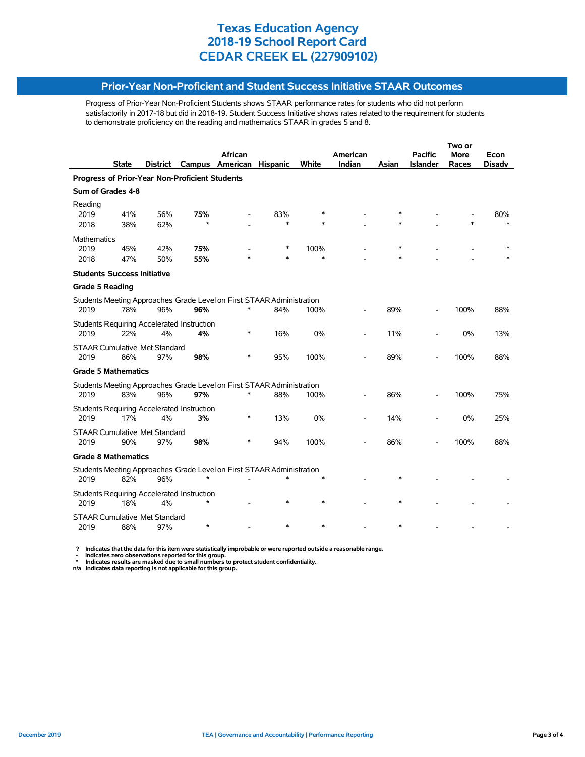### **Prior-Year Non-Proficient and Student Success Initiative STAAR Outcomes**

Progress of Prior-Year Non-Proficient Students shows STAAR performance rates for students who did not perform satisfactorily in 2017-18 but did in 2018-19. Student Success Initiative shows rates related to the requirement for students to demonstrate proficiency on the reading and mathematics STAAR in grades 5 and 8.

|                                                                       |              |          |         |                                                                       |                 |        |          | Two or  |                 |             |               |  |  |
|-----------------------------------------------------------------------|--------------|----------|---------|-----------------------------------------------------------------------|-----------------|--------|----------|---------|-----------------|-------------|---------------|--|--|
|                                                                       |              |          |         | <b>African</b>                                                        |                 |        | American |         | <b>Pacific</b>  | <b>More</b> | Econ          |  |  |
|                                                                       | <b>State</b> | District | Campus  | American                                                              | <b>Hispanic</b> | White  | Indian   | Asian   | <b>Islander</b> | Races       | <b>Disadv</b> |  |  |
| Progress of Prior-Year Non-Proficient Students                        |              |          |         |                                                                       |                 |        |          |         |                 |             |               |  |  |
| Sum of Grades 4-8                                                     |              |          |         |                                                                       |                 |        |          |         |                 |             |               |  |  |
| Reading                                                               |              |          |         |                                                                       |                 |        |          |         |                 |             |               |  |  |
| 2019                                                                  | 41%          | 56%      | 75%     |                                                                       | 83%             |        |          |         |                 |             | 80%           |  |  |
| 2018                                                                  | 38%          | 62%      | $\star$ |                                                                       | $\ast$          |        |          |         |                 |             |               |  |  |
| <b>Mathematics</b>                                                    |              |          |         |                                                                       |                 |        |          |         |                 |             |               |  |  |
| 2019                                                                  | 45%          | 42%      | 75%     |                                                                       | ∗               | 100%   |          | $\ast$  |                 |             |               |  |  |
| 2018                                                                  | 47%          | 50%      | 55%     |                                                                       | $\star$         | $\ast$ |          | $\star$ |                 |             |               |  |  |
| <b>Students Success Initiative</b>                                    |              |          |         |                                                                       |                 |        |          |         |                 |             |               |  |  |
| <b>Grade 5 Reading</b>                                                |              |          |         |                                                                       |                 |        |          |         |                 |             |               |  |  |
|                                                                       |              |          |         | Students Meeting Approaches Grade Level on First STAAR Administration |                 |        |          |         |                 |             |               |  |  |
| 2019                                                                  | 78%          | 96%      | 96%     | *                                                                     | 84%             | 100%   |          | 89%     |                 | 100%        | 88%           |  |  |
| Students Requiring Accelerated Instruction                            |              |          |         |                                                                       |                 |        |          |         |                 |             |               |  |  |
| 2019                                                                  | 22%          | 4%       | 4%      | *                                                                     | 16%             | 0%     |          | 11%     |                 | 0%          | 13%           |  |  |
| <b>STAAR Cumulative Met Standard</b>                                  |              |          |         |                                                                       |                 |        |          |         |                 |             |               |  |  |
| 2019                                                                  | 86%          | 97%      | 98%     |                                                                       | 95%             | 100%   |          | 89%     |                 | 100%        | 88%           |  |  |
| <b>Grade 5 Mathematics</b>                                            |              |          |         |                                                                       |                 |        |          |         |                 |             |               |  |  |
|                                                                       |              |          |         | Students Meeting Approaches Grade Level on First STAAR Administration |                 |        |          |         |                 |             |               |  |  |
| 2019                                                                  | 83%          | 96%      | 97%     | *                                                                     | 88%             | 100%   |          | 86%     |                 | 100%        | 75%           |  |  |
| <b>Students Requiring Accelerated Instruction</b>                     |              |          |         |                                                                       |                 |        |          |         |                 |             |               |  |  |
| 2019                                                                  | 17%          | 4%       | 3%      | *                                                                     | 13%             | 0%     |          | 14%     |                 | 0%          | 25%           |  |  |
| <b>STAAR Cumulative Met Standard</b>                                  |              |          |         |                                                                       |                 |        |          |         |                 |             |               |  |  |
| 2019                                                                  | 90%          | 97%      | 98%     | *                                                                     | 94%             | 100%   |          | 86%     |                 | 100%        | 88%           |  |  |
| <b>Grade 8 Mathematics</b>                                            |              |          |         |                                                                       |                 |        |          |         |                 |             |               |  |  |
| Students Meeting Approaches Grade Level on First STAAR Administration |              |          |         |                                                                       |                 |        |          |         |                 |             |               |  |  |
| 2019                                                                  | 82%          | 96%      | $\star$ |                                                                       |                 |        |          | $\ast$  |                 |             |               |  |  |
| <b>Students Requiring Accelerated Instruction</b>                     |              |          |         |                                                                       |                 |        |          |         |                 |             |               |  |  |
| 2019                                                                  | 18%          | 4%       |         |                                                                       |                 |        |          | $\ast$  |                 |             |               |  |  |
| <b>STAAR Cumulative Met Standard</b>                                  |              |          |         |                                                                       |                 |        |          |         |                 |             |               |  |  |
| 2019                                                                  | 88%          | 97%      | $\star$ |                                                                       |                 |        |          | $\ast$  |                 |             |               |  |  |

? Indicates that the data for this item were statistically improbable or were reported outside a reasonable range.<br>- Indicates zero observations reported for this group.<br>\* Indicates results are masked due to small numbers